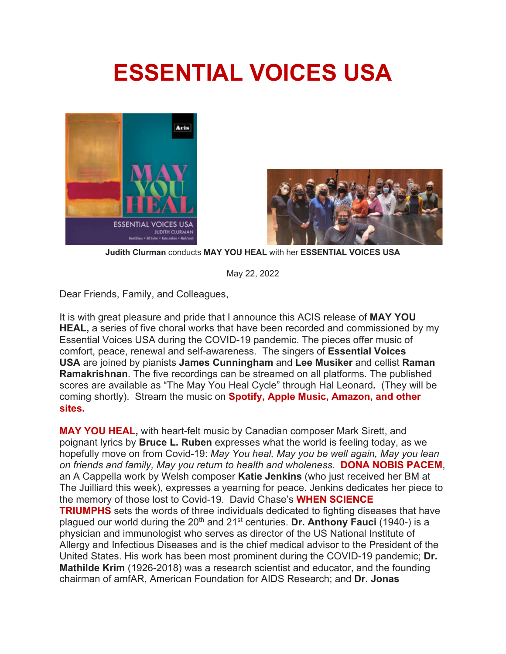## **ESSENTIAL VOICES USA**





**Judith Clurman** conducts **MAY YOU HEAL** with her **ESSENTIAL VOICES USA**

May 22, 2022

Dear Friends, Family, and Colleagues,

It is with great pleasure and pride that I announce this ACIS release of **MAY YOU HEAL,** a series of five choral works that have been recorded and commissioned by my Essential Voices USA during the COVID-19 pandemic. The pieces offer music of comfort, peace, renewal and self-awareness. The singers of **Essential Voices USA** are joined by pianists **James Cunningham** and **Lee Musiker** and cellist **Raman Ramakrishnan**. The five recordings can be streamed on all platforms. The published scores are available as "The May You Heal Cycle" through Hal Leonard**.** (They will be coming shortly). Stream the music on **Spotify, Apple Music, Amazon, and other sites.**

**MAY YOU HEAL,** with heart-felt music by Canadian composer Mark Sirett, and poignant lyrics by **Bruce L. Ruben** expresses what the world is feeling today, as we hopefully move on from Covid-19: *May You heal, May you be well again, May you lean on friends and family, May you return to health and wholeness.* **DONA NOBIS PACEM**, an A Cappella work by Welsh composer **Katie Jenkins** (who just received her BM at The Juilliard this week), expresses a yearning for peace. Jenkins dedicates her piece to the memory of those lost to Covid-19. David Chase's **WHEN SCIENCE TRIUMPHS** sets the words of three individuals dedicated to fighting diseases that have plagued our world during the 20<sup>th</sup> and 21<sup>st</sup> centuries. Dr. Anthony Fauci (1940-) is a physician and immunologist who serves as director of the US National Institute of Allergy and Infectious Diseases and is the chief medical advisor to the President of the United States. His work has been most prominent during the COVID-19 pandemic; **Dr. Mathilde Krim** (1926-2018) was a research scientist and educator, and the founding chairman of amfAR, American Foundation for AIDS Research; and **Dr. Jonas**